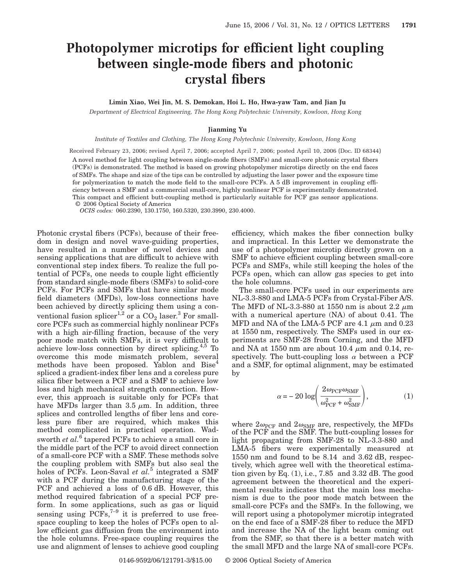## **Photopolymer microtips for efficient light coupling between single-mode fibers and photonic crystal fibers**

**Limin Xiao, Wei Jin, M. S. Demokan, Hoi L. Ho, Hwa-yaw Tam, and Jian Ju**

*Department of Electrical Engineering, The Hong Kong Polytechnic University, Kowloon, Hong Kong*

## **Jianming Yu**

*Institute of Textiles and Clothing, The Hong Kong Polytechnic University, Kowloon, Hong Kong*

Received February 23, 2006; revised April 7, 2006; accepted April 7, 2006; posted April 10, 2006 (Doc. ID 68344) A novel method for light coupling between single-mode fibers (SMFs) and small-core photonic crystal fibers (PCFs) is demonstrated. The method is based on growing photopolymer microtips directly on the end faces of SMFs. The shape and size of the tips can be controlled by adjusting the laser power and the exposure time for polymerization to match the mode field to the small-core PCFs. A 5 dB improvement in coupling efficiency between a SMF and a commercial small-core, highly nonlinear PCF is experimentally demonstrated. This compact and efficient butt-coupling method is particularly suitable for PCF gas sensor applications. © 2006 Optical Society of America

*OCIS codes:* 060.2390, 130.1750, 160.5320, 230.3990, 230.4000.

Photonic crystal fibers (PCFs), because of their freedom in design and novel wave-guiding properties, have resulted in a number of novel devices and sensing applications that are difficult to achieve with conventional step index fibers. To realize the full potential of PCFs, one needs to couple light efficiently from standard single-mode fibers (SMFs) to solid-core PCFs. For PCFs and SMFs that have similar mode field diameters (MFDs), low-loss connections have been achieved by directly splicing them using a conventional fusion splicer<sup>1,2</sup> or a  $CO_2$  laser.<sup>3</sup> For smallcore PCFs such as commercial highly nonlinear PCFs with a high air-filling fraction, because of the very poor mode match with SMFs, it is very difficult to achieve low-loss connection by direct splicing. $4,5$  To overcome this mode mismatch problem, several methods have been proposed. Yablon and Bise<sup>4</sup> spliced a gradient-index fiber lens and a coreless pure silica fiber between a PCF and a SMF to achieve low loss and high mechanical strength connection. However, this approach is suitable only for PCFs that have MFDs larger than  $3.5 \mu m$ . In addition, three splices and controlled lengths of fiber lens and coreless pure fiber are required, which makes this method complicated in practical operation. Wadsworth *et al.*<sup>6</sup> tapered PCFs to achieve a small core in the middle part of the PCF to avoid direct connection of a small-core PCF with a SMF. These methods solve the coupling problem with SMFs but also seal the holes of PCFs. Leon-Saval *et al.*<sup>5</sup> integrated a SMF with a PCF during the manufacturing stage of the PCF and achieved a loss of 0.6 dB. However, this method required fabrication of a special PCF preform. In some applications, such as gas or liquid sensing using  $PCFs$ ,<sup> $7-9$ </sup> it is preferred to use freespace coupling to keep the holes of PCFs open to allow efficient gas diffusion from the environment into the hole columns. Free-space coupling requires the use and alignment of lenses to achieve good coupling

efficiency, which makes the fiber connection bulky and impractical. In this Letter we demonstrate the use of a photopolymer microtip directly grown on a SMF to achieve efficient coupling between small-core PCFs and SMFs, while still keeping the holes of the PCFs open, which can allow gas species to get into the hole columns.

The small-core PCFs used in our experiments are NL-3.3-880 and LMA-5 PCFs from Crystal-Fiber A/S. The MFD of NL-3.3-880 at 1550 nm is about 2.2  $\mu$ m with a numerical aperture (NA) of about 0.41. The MFD and NA of the LMA-5 PCF are 4.1  $\mu$ m and 0.23 at 1550 nm, respectively. The SMFs used in our experiments are SMF-28 from Corning, and the MFD and NA at 1550 nm are about 10.4  $\mu$ m and 0.14, respectively. The butt-coupling loss  $\alpha$  between a PCF and a SMF, for optimal alignment, may be estimated by

$$
\alpha = -20 \log \left( \frac{2 \omega_{\rm PCF} \omega_{\rm SMF}}{\omega_{\rm PCF}^2 + \omega_{\rm SMF}^2} \right),\tag{1}
$$

where  $2\omega_{\text{PCF}}$  and  $2\omega_{\text{SMF}}$  are, respectively, the MFDs of the PCF and the SMF. The butt-coupling losses for light propagating from SMF-28 to NL-3.3-880 and LMA-5 fibers were experimentally measured at 1550 nm and found to be 8.14 and 3.62 dB, respectively, which agree well with the theoretical estimation given by Eq.  $(1)$ , i.e.,  $7.85$  and  $3.32$  dB. The good agreement between the theoretical and the experimental results indicates that the main loss mechanism is due to the poor mode match between the small-core PCFs and the SMFs. In the following, we will report using a photopolymer microtip integrated on the end face of a SMF-28 fiber to reduce the MFD and increase the NA of the light beam coming out from the SMF, so that there is a better match with the small MFD and the large NA of small-core PCFs.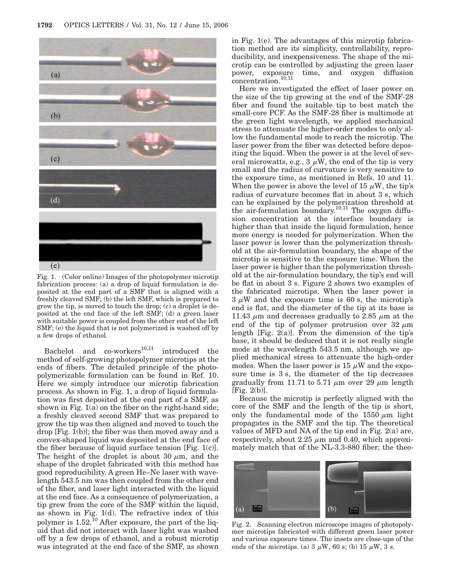

Fig. 1. (Color online) Images of the photopolymer microtip fabrication process: (a) a drop of liquid formulation is deposited at the end part of a SMF that is aligned with a freshly cleaved SMF; (b) the left SMF, which is prepared to grow the tip, is moved to touch the drop; (c) a droplet is deposited at the end face of the left SMF; (d) a green laser with suitable power is coupled from the other end of the left SMF; (e) the liquid that is not polymerized is washed off by a few drops of ethanol.

Bachelot and  $\text{co-workers}^{10,11}$  introduced the method of self-growing photopolymer microtips at the ends of fibers. The detailed principle of the photopolymerizable formulation can be found in Ref. 10. Here we simply introduce our microtip fabrication process. As shown in Fig. 1, a drop of liquid formulation was first deposited at the end part of a SMF, as shown in Fig. 1(a) on the fiber on the right-hand side; a freshly cleaved second SMF that was prepared to grow the tip was then aligned and moved to touch the drop [Fig. 1(b)]; the fiber was then moved away and a convex-shaped liquid was deposited at the end face of the fiber because of liquid surface tension [Fig. 1(c)]. The height of the droplet is about 30  $\mu$ m, and the shape of the droplet fabricated with this method has good reproducibility. A green He–Ne laser with wavelength 543.5 nm was then coupled from the other end of the fiber, and laser light interacted with the liquid at the end face. As a consequence of polymerization, a tip grew from the core of the SMF within the liquid, as shown in Fig. 1(d). The refractive index of this polymer is  $1.52<sup>10</sup>$  After exposure, the part of the liquid that did not interact with laser light was washed off by a few drops of ethanol, and a robust microtip was integrated at the end face of the SMF, as shown in Fig. 1(e). The advantages of this microtip fabrication method are its simplicity, controllability, reproducibility, and inexpensiveness. The shape of the microtip can be controlled by adjusting the green laser time, and oxygen diffusion power, exposure<br>concentration.<sup>10,11</sup>

Here we investigated the effect of laser power on the size of the tip growing at the end of the SMF-28 fiber and found the suitable tip to best match the small-core PCF. As the SMF-28 fiber is multimode at the green light wavelength, we applied mechanical stress to attenuate the higher-order modes to only allow the fundamental mode to reach the microtip. The laser power from the fiber was detected before depositing the liquid. When the power is at the level of several microwatts, e.g.,  $3 \mu W$ , the end of the tip is very small and the radius of curvature is very sensitive to the exposure time, as mentioned in Refs. 10 and 11. When the power is above the level of 15  $\mu$ W, the tip's radius of curvature becomes flat in about 3 s, which can be explained by the polymerization threshold at the air-formulation boundary.<sup>10,11</sup> The oxygen diffusion concentration at the interface boundary is higher than that inside the liquid formulation, hence more energy is needed for polymerization. When the laser power is lower than the polymerization threshold at the air-formulation boundary, the shape of the microtip is sensitive to the exposure time. When the laser power is higher than the polymerization threshold at the air-formulation boundary, the tip's end will be flat in about 3 s. Figure 2 shows two examples of the fabricated microtips. When the laser power is  $3 \mu W$  and the exposure time is 60 s, the microtip's end is flat, and the diameter of the tip at its base is 11.43  $\mu$ m and decreases gradually to 2.85  $\mu$ m at the end of the tip of polymer protrusion over  $32 \mu m$ length [Fig.  $2(a)$ ]. From the dimension of the tip's base, it should be deduced that it is not really single mode at the wavelength 543.5 nm, although we applied mechanical stress to attenuate the high-order modes. When the laser power is 15  $\mu$ W and the exposure time is 3 s, the diameter of the tip decreases gradually from 11.71 to 5.71  $\mu$ m over 29  $\mu$ m length [Fig. 2(b)].

Because the microtip is perfectly aligned with the core of the SMF and the length of the tip is short, only the fundamental mode of the 1550  $\mu$ m light propagates in the SMF and the tip. The theoretical values of MFD and NA of the tip end in Fig. 2(a) are, respectively, about  $2.25 \mu m$  and 0.40, which approximately match that of the NL-3.3-880 fiber; the theo-



Fig. 2. Scanning electron microscope images of photopolymer microtips fabricated with different green laser power and various exposure times. The insets are close-ups of the ends of the microtips. (a)  $3 \mu$ W, 60 s; (b) 15  $\mu$ W, 3 s.